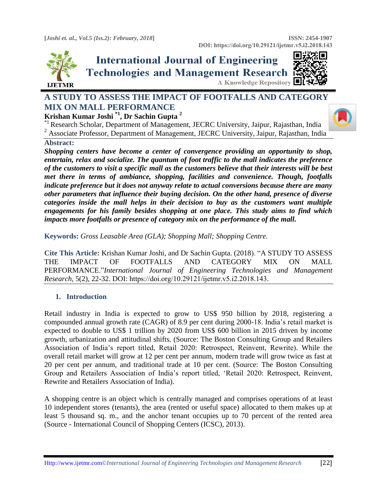

# **International Journal of Engineering Technologies and Management Research** A Knowledge Repository

## **A STUDY TO ASSESS THE IMPACT OF FOOTFALLS AND CATEGORY MIX ON MALL PERFORMANCE**

#### **Krishan Kumar Joshi \*1 , Dr Sachin Gupta <sup>2</sup>**

\*1 Research Scholar, Department of Management, JECRC University, Jaipur, Rajasthan, India

<sup>2</sup> Associate Professor. Department of Management, JECRC University, Jaipur, Rajasthan, India

#### **Abstract:**

*Shopping centers have become a center of convergence providing an opportunity to shop, entertain, relax and socialize. The quantum of foot traffic to the mall indicates the preference of the customers to visit a specific mall as the customers believe that their interests will be best met there in terms of ambiance, shopping, facilities and convenience. Though, footfalls indicate preference but it does not anyway relate to actual conversions because there are many other parameters that influence their buying decision. On the other hand, presence of diverse categories inside the mall helps in their decision to buy as the customers want multiple engagements for his family besides shopping at one place. This study aims to find which impacts more footfalls or presence of category mix on the performance of the mall.*

**Keywords:** *Gross Leasable Area (GLA); Shopping Mall; Shopping Centre.* 

**Cite This Article:** Krishan Kumar Joshi, and Dr Sachin Gupta. (2018). "A STUDY TO ASSESS THE IMPACT OF FOOTFALLS AND CATEGORY MIX ON MALL PERFORMANCE."*International Journal of Engineering Technologies and Management Research,* 5(2), 22-32. DOI: https://doi.org/10.29121/ijetmr.v5.i2.2018.143.

#### **1. Introduction**

Retail industry in India is expected to grow to US\$ 950 billion by 2018, registering a compounded annual growth rate (CAGR) of 8.9 per cent during 2000-18. India's retail market is expected to double to US\$ 1 trillion by 2020 from US\$ 600 billion in 2015 driven by income growth, urbanization and attitudinal shifts. (Source: The Boston Consulting Group and Retailers Association of India's report titled, Retail 2020: Retrospect, Reinvent, Rewrite). While the overall retail market will grow at 12 per cent per annum, modern trade will grow twice as fast at 20 per cent per annum, and traditional trade at 10 per cent. (Source: The Boston Consulting Group and Retailers Association of India's report titled, 'Retail 2020: Retrospect, Reinvent, Rewrite and Retailers Association of India).

A shopping centre is an object which is centrally managed and comprises operations of at least 10 independent stores (tenants), the area (rented or useful space) allocated to them makes up at least 5 thousand sq. m., and the anchor tenant occupies up to 70 percent of the rented area (Source - International Council of Shopping Centers (ICSC), 2013).

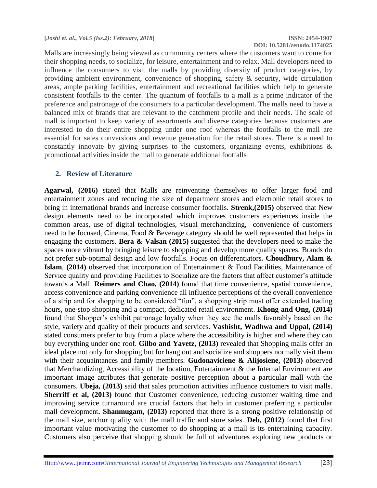**DOI: 10.5281/zenodo.1174025**

Malls are increasingly being viewed as community centers where the customers want to come for their shopping needs, to socialize, for leisure, entertainment and to relax. Mall developers need to influence the consumers to visit the malls by providing diversity of product categories, by providing ambient environment, convenience of shopping, safety & security, wide circulation areas, ample parking facilities, entertainment and recreational facilities which help to generate consistent footfalls to the center. The quantum of footfalls to a mall is a prime indicator of the preference and patronage of the consumers to a particular development. The malls need to have a balanced mix of brands that are relevant to the catchment profile and their needs. The scale of mall is important to keep variety of assortments and diverse categories because customers are interested to do their entire shopping under one roof whereas the footfalls to the mall are essential for sales conversions and revenue generation for the retail stores. There is a need to constantly innovate by giving surprises to the customers, organizing events, exhibitions & promotional activities inside the mall to generate additional footfalls

#### **2. Review of Literature**

**Agarwal, (2016)** stated that Malls are reinventing themselves to offer larger food and entertainment zones and reducing the size of department stores and electronic retail stores to bring in international brands and increase consumer footfalls. **Strenk,(2015)** observed that New design elements need to be incorporated which improves customers experiences inside the common areas, use of digital technologies, visual merchandizing, convenience of customers need to be focused, Cinema, Food & Beverage category should be well represented that helps in engaging the customers. **Bera & Valsan (2015)** suggested that the developers need to make the spaces more vibrant by bringing leisure to shopping and develop more quality spaces. Brands do not prefer sub-optimal design and low footfalls. Focus on differentiators*.* **Choudhury, Alam & Islam**, **(2014)** observed that incorporation of Entertainment & Food Facilities, Maintenance of Service quality and providing Facilities to Socialize are the factors that affect customer's attitude towards a Mall. **Reimers and Chao, (2014)** found that time convenience, spatial convenience, access convenience and parking convenience all influence perceptions of the overall convenience of a strip and for shopping to be considered "fun", a shopping strip must offer extended trading hours, one-stop shopping and a compact, dedicated retail environment. **Khong and Ong, (2014)** found that Shopper's exhibit patronage loyalty when they see the malls favorably based on the style, variety and quality of their products and services. **Vashisht, Wadhwa and Uppal, (2014)** stated consumers prefer to buy from a place where the accessibility is higher and where they can buy everything under one roof. **Gilbo and Yavetz, (2013)** revealed that Shopping malls offer an ideal place not only for shopping but for hang out and socialize and shoppers normally visit them with their acquaintances and family members. **Gudonaviciene & Alijosiene, (2013)** observed that Merchandizing, Accessibility of the location, Entertainment & the Internal Environment are important image attributes that generate positive perception about a particular mall with the consumers. **Ubeja, (2013)** said that sales promotion activities influence customers to visit malls. **Sherriff et al, (2013)** found that Customer convenience, reducing customer waiting time and improving service turnaround are crucial factors that help in customer preferring a particular mall development**. Shanmugam, (2013)** reported that there is a strong positive relationship of the mall size, anchor quality with the mall traffic and store sales. **Deb, (2012)** found that first important value motivating the customer to do shopping at a mall is its entertaining capacity. Customers also perceive that shopping should be full of adventures exploring new products or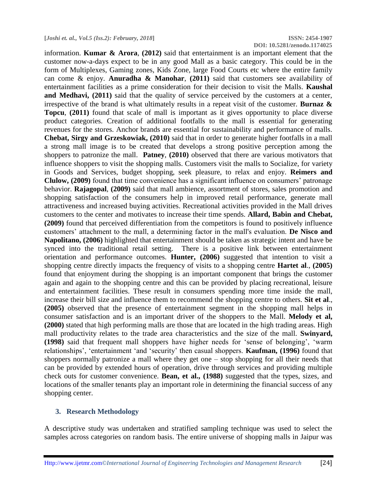**DOI: 10.5281/zenodo.1174025**

information. **Kumar & Arora**, **(2012)** said that entertainment is an important element that the customer now-a-days expect to be in any good Mall as a basic category. This could be in the form of Multiplexes, Gaming zones, Kids Zone, large Food Courts etc where the entire family can come & enjoy. **Anuradha & Manohar**, **(2011)** said that customers see availability of entertainment facilities as a prime consideration for their decision to visit the Malls. **Kaushal**  and Medhavi, (2011) said that the quality of service perceived by the customers at a center, irrespective of the brand is what ultimately results in a repeat visit of the customer. **Burnaz & Topcu**, **(2011)** found that scale of mall is important as it gives opportunity to place diverse product categories. Creation of additional footfalls to the mall is essential for generating revenues for the stores. Anchor brands are essential for sustainability and performance of malls. **Chebat, Sirgy and Grzeskowiak, (2010)** said that in order to generate higher footfalls in a mall a strong mall image is to be created that develops a strong positive perception among the shoppers to patronize the mall. **Patney**, **(2010)** observed that there are various motivators that influence shoppers to visit the shopping malls. Customers visit the malls to Socialize, for variety in Goods and Services, budget shopping, seek pleasure, to relax and enjoy. **Reimers and Clulow, (2009)** found that time convenience has a significant influence on consumers' patronage behavior. **Rajagopal**, **(2009)** said that mall ambience, assortment of stores, sales promotion and shopping satisfaction of the consumers help in improved retail performance, generate mall attractiveness and increased buying activities. Recreational activities provided in the Mall drives customers to the center and motivates to increase their time spends. **Allard, Babin and Chebat, (2009)** found that perceived differentiation from the competitors is found to positively influence customers' attachment to the mall, a determining factor in the mall's evaluation. **De Nisco and Napolitano, (2006)** highlighted that entertainment should be taken as strategic intent and have be synced into the traditional retail setting. There is a positive link between entertainment orientation and performance outcomes. **Hunter, (2006)** suggested that intention to visit a shopping centre directly impacts the frequency of visits to a shopping centre **Hartet al**., **(2005)** found that enjoyment during the shopping is an important component that brings the customer again and again to the shopping centre and this can be provided by placing recreational, leisure and entertainment facilities. These result in consumers spending more time inside the mall, increase their bill size and influence them to recommend the shopping centre to others. **Sit et al**., **(2005)** observed that the presence of entertainment segment in the shopping mall helps in consumer satisfaction and is an important driver of the shoppers to the Mall. **Melody et al, (2000)** stated that high performing malls are those that are located in the high trading areas. High mall productivity relates to the trade area characteristics and the size of the mall. **Swinyard, (1998)** said that frequent mall shoppers have higher needs for 'sense of belonging', 'warm relationships', 'entertainment 'and 'security' then casual shoppers. **Kaufman, (1996)** found that shoppers normally patronize a mall where they get one – stop shopping for all their needs that can be provided by extended hours of operation, drive through services and providing multiple check outs for customer convenience. **Bean, et al., (1988)** suggested that the types, sizes, and locations of the smaller tenants play an important role in determining the financial success of any shopping center.

#### **3. Research Methodology**

A descriptive study was undertaken and stratified sampling technique was used to select the samples across categories on random basis. The entire universe of shopping malls in Jaipur was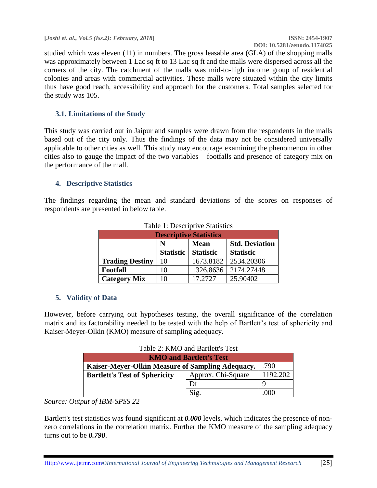**[***Joshi et. al., Vol.5 (Iss.2): February, 2018***] ISSN: 2454-1907**

studied which was eleven (11) in numbers. The gross leasable area (GLA) of the shopping malls was approximately between 1 Lac sq ft to 13 Lac sq ft and the malls were dispersed across all the corners of the city. The catchment of the malls was mid-to-high income group of residential colonies and areas with commercial activities. These malls were situated within the city limits thus have good reach, accessibility and approach for the customers. Total samples selected for the study was 105.

#### **3.1. Limitations of the Study**

This study was carried out in Jaipur and samples were drawn from the respondents in the malls based out of the city only. Thus the findings of the data may not be considered universally applicable to other cities as well. This study may encourage examining the phenomenon in other cities also to gauge the impact of the two variables – footfalls and presence of category mix on the performance of the mall.

#### **4. Descriptive Statistics**

The findings regarding the mean and standard deviations of the scores on responses of respondents are presented in below table.

| <b>Descriptive Statistics</b>             |                  |                  |                  |  |  |  |  |  |
|-------------------------------------------|------------------|------------------|------------------|--|--|--|--|--|
| <b>Std. Deviation</b><br><b>Mean</b><br>N |                  |                  |                  |  |  |  |  |  |
|                                           | <b>Statistic</b> | <b>Statistic</b> | <b>Statistic</b> |  |  |  |  |  |
| <b>Trading Destiny</b>                    | 10               | 1673.8182        | 2534.20306       |  |  |  |  |  |
| <b>Footfall</b>                           | 10               | 1326.8636        | 2174.27448       |  |  |  |  |  |
| <b>Category Mix</b>                       | 10               | 17.2727          | 25.90402         |  |  |  |  |  |

| Table 1: Descriptive Statistics |
|---------------------------------|
|---------------------------------|

#### **5. Validity of Data**

However, before carrying out hypotheses testing, the overall significance of the correlation matrix and its factorability needed to be tested with the help of Bartlett's test of sphericity and Kaiser-Meyer-Olkin (KMO) measure of sampling adequacy.

| Table 2: KMO and Bartlett's Test |  |  |
|----------------------------------|--|--|
|----------------------------------|--|--|

| <b>KMO and Bartlett's Test</b>                           |          |      |  |  |  |  |
|----------------------------------------------------------|----------|------|--|--|--|--|
| .790<br>Kaiser-Meyer-Olkin Measure of Sampling Adequacy. |          |      |  |  |  |  |
| <b>Bartlett's Test of Sphericity</b>                     | 1192.202 |      |  |  |  |  |
|                                                          | Df       |      |  |  |  |  |
|                                                          | Sig.     | .000 |  |  |  |  |

#### *Source: Output of IBM-SPSS 22*

Bartlett's test statistics was found significant at *0.000* levels, which indicates the presence of nonzero correlations in the correlation matrix. Further the KMO measure of the sampling adequacy turns out to be *0.790*.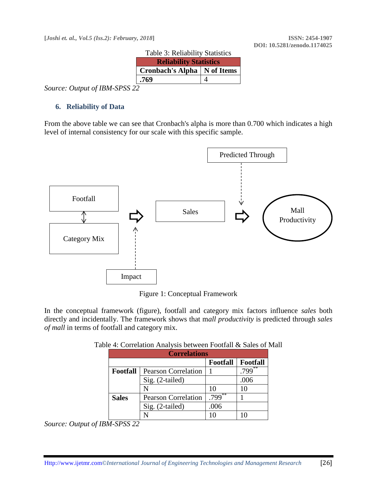**[***Joshi et. al., Vol.5 (Iss.2): February, 2018***] ISSN: 2454-1907**

| raone si richaonne statistics<br><b>Reliability Statistics</b> |  |
|----------------------------------------------------------------|--|
| Cronbach's Alpha   N of Items                                  |  |
| .769                                                           |  |
|                                                                |  |

Table 3: Reliability Statistics

*Source: Output of IBM-SPSS 22*

#### **6. Reliability of Data**

From the above table we can see that Cronbach's alpha is more than 0.700 which indicates a high level of internal consistency for our scale with this specific sample.



Figure 1: Conceptual Framework

In the conceptual framework (figure), footfall and category mix factors influence *sales* both directly and incidentally. The framework shows that m*all productivity* is predicted through *sales of mall* in terms of footfall and category mix.

| <b>Correlations</b> |                            |                 |                 |  |  |  |  |
|---------------------|----------------------------|-----------------|-----------------|--|--|--|--|
|                     |                            | <b>Footfall</b> | <b>Footfall</b> |  |  |  |  |
| <b>Footfall</b>     | <b>Pearson Correlation</b> |                 | **<br>799       |  |  |  |  |
|                     | Sig. (2-tailed)            |                 | .006            |  |  |  |  |
|                     | N                          | 10              | 10              |  |  |  |  |
| <b>Sales</b>        | <b>Pearson Correlation</b> | **<br>.799      |                 |  |  |  |  |
|                     | Sig. (2-tailed)            | .006            |                 |  |  |  |  |
|                     |                            |                 |                 |  |  |  |  |

#### Table 4: Correlation Analysis between Footfall & Sales of Mall

*Source: Output of IBM-SPSS 22*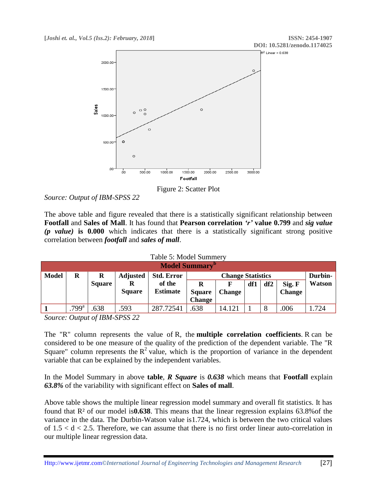

Figure 2: Scatter Plot

The above table and figure revealed that there is a statistically significant relationship between **Footfall** and **Sales of Mall**. It has found that **Pearson correlation** *'r'* **value 0.799** and *sig value (p value)* **is 0.000** which indicates that there is a statistically significant strong positive correlation between *footfall* and *sales of mall*.

| <b>Model Summary</b> <sup>D</sup> |                                                                            |               |                    |                           |                                     |               |     |     |                         |               |
|-----------------------------------|----------------------------------------------------------------------------|---------------|--------------------|---------------------------|-------------------------------------|---------------|-----|-----|-------------------------|---------------|
| <b>Model</b>                      | <b>Std. Error</b><br><b>Adjusted</b><br>R<br><b>Change Statistics</b><br>R |               |                    |                           | Durbin-                             |               |     |     |                         |               |
|                                   |                                                                            | <b>Square</b> | R<br><b>Square</b> | of the<br><b>Estimate</b> | R<br><b>Square</b><br><b>Change</b> | <b>Change</b> | df1 | df2 | Sig. F<br><b>Change</b> | <b>Watson</b> |
|                                   | .799 <sup>a</sup>                                                          | 638           | .593               | 287.72541                 | .638                                | 14.121        |     |     | .006                    | .724          |

*Source: Output of IBM-SPSS 22*

The "R" column represents the value of R, the **multiple correlation coefficients**. R can be considered to be one measure of the quality of the prediction of the dependent variable. The "R Square" column represents the  $R^2$  value, which is the proportion of variance in the dependent variable that can be explained by the independent variables.

In the Model Summary in above **table**, *R Square* is *0.638* which means that **Footfall** explain *63.8%* of the variability with significant effect on **Sales of mall**.

Above table shows the multiple linear regression model summary and overall fit statistics. It has found that R² of our model is**0.638**. This means that the linear regression explains 63.8%of the variance in the data. The Durbin-Watson value is1.724, which is between the two critical values of  $1.5 < d < 2.5$ . Therefore, we can assume that there is no first order linear auto-correlation in our multiple linear regression data.

*Source: Output of IBM-SPSS 22*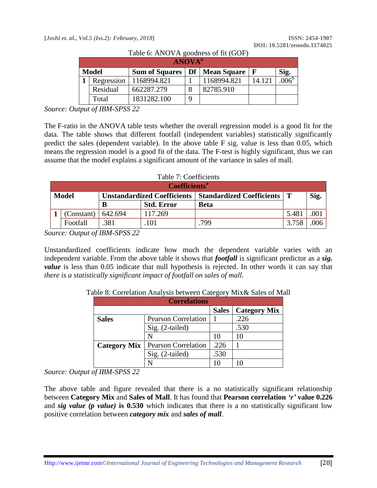|              | <b>ANOVA</b> <sup>a</sup> |                                    |   |             |             |                   |  |  |  |  |
|--------------|---------------------------|------------------------------------|---|-------------|-------------|-------------------|--|--|--|--|
| <b>Model</b> |                           | Df   Mean Square<br>Sum of Squares |   |             | $\mathbf F$ | Sig.              |  |  |  |  |
|              | Regression                | 1168994.821                        |   | 1168994.821 | 14.121      | .006 <sup>b</sup> |  |  |  |  |
|              | Residual                  | 662287.279                         | 8 | 82785.910   |             |                   |  |  |  |  |
|              | Total                     | 1831282.100                        | 9 |             |             |                   |  |  |  |  |

Table 6: ANOVA goodness of fit (GOF)

*Source: Output of IBM-SPSS 22*

The F-ratio in the ANOVA table tests whether the overall regression model is a good fit for the data. The table shows that different footfall (independent variables) statistically significantly predict the sales (dependent variable). In the above table F sig. value is less than 0.05, which means the regression model is a good fit of the data. The F-test is highly significant, thus we can assume that the model explains a significant amount of the variance in sales of mall.

#### Table 7: Coefficients

|              | Coefficients <sup>a</sup> |                                                             |                   |      |       |      |  |  |  |  |
|--------------|---------------------------|-------------------------------------------------------------|-------------------|------|-------|------|--|--|--|--|
| <b>Model</b> |                           | Unstandardized Coefficients   Standardized Coefficients   T |                   |      |       | Sig. |  |  |  |  |
|              |                           | B                                                           | <b>Std. Error</b> | Beta |       |      |  |  |  |  |
|              | (Constant)                | 642.694                                                     | 117.269           |      | 5.481 |      |  |  |  |  |
|              | Footfall                  | 381                                                         | 101               | 799  | 3.758 | 006  |  |  |  |  |

*Source: Output of IBM-SPSS 22*

Unstandardized coefficients indicate how much the dependent variable varies with an independent variable. From the above table it shows that *footfall* is significant predictor as a *sig. value* is less than 0.05 indicate that null hypothesis is rejected. In other words it can say that *there is a statistically significant impact of footfall on sales of mall.*

| <b>Correlations</b> |                            |              |                     |  |  |  |  |  |
|---------------------|----------------------------|--------------|---------------------|--|--|--|--|--|
|                     |                            | <b>Sales</b> | <b>Category Mix</b> |  |  |  |  |  |
| <b>Sales</b>        | <b>Pearson Correlation</b> |              | .226                |  |  |  |  |  |
|                     | Sig. (2-tailed)            |              | .530                |  |  |  |  |  |
|                     |                            | 10           | 10                  |  |  |  |  |  |
| <b>Category Mix</b> | <b>Pearson Correlation</b> | .226         |                     |  |  |  |  |  |
|                     | Sig. (2-tailed)            | .530         |                     |  |  |  |  |  |
|                     |                            |              |                     |  |  |  |  |  |

Table 8: Correlation Analysis between Category Mix& Sales of Mall

#### *Source: Output of IBM-SPSS 22*

The above table and figure revealed that there is a no statistically significant relationship between **Category Mix** and **Sales of Mall**. It has found that **Pearson correlation** *'r'* **value 0.226** and *sig value (p value)* **is 0.530** which indicates that there is a no statistically significant low positive correlation between *category mix* and *sales of mall*.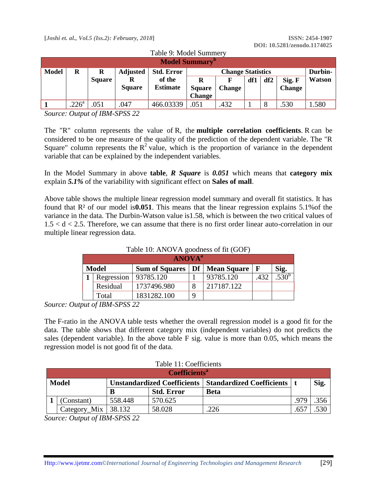| <b>Model Summary'</b> |                   |               |                 |                   |               |                          |     |     |               |         |
|-----------------------|-------------------|---------------|-----------------|-------------------|---------------|--------------------------|-----|-----|---------------|---------|
| <b>Model</b>          | R                 | R             | <b>Adjusted</b> | <b>Std. Error</b> |               | <b>Change Statistics</b> |     |     |               | Durbin- |
|                       |                   | <b>Square</b> |                 | of the            | R             | F                        | df1 | df2 | Sig. F        | Watson  |
|                       |                   |               | <b>Square</b>   | <b>Estimate</b>   | <b>Square</b> | <b>Change</b>            |     |     | <b>Change</b> |         |
|                       |                   |               |                 |                   | <b>Change</b> |                          |     |     |               |         |
|                       | .226 <sup>a</sup> | .051          | .047            | 466.03339         | .051          | .432                     |     |     | .530          | 1.580   |

Table 9: Model Summery

*Source: Output of IBM-SPSS 22*

The "R" column represents the value of R, the **multiple correlation coefficients**. R can be considered to be one measure of the quality of the prediction of the dependent variable. The "R Square" column represents the  $R^2$  value, which is the proportion of variance in the dependent variable that can be explained by the independent variables.

In the Model Summary in above **table**, *R Square* is *0.051* which means that **category mix**  explain *5.1%* of the variability with significant effect on **Sales of mall**.

Above table shows the multiple linear regression model summary and overall fit statistics. It has found that R² of our model is**0.051**. This means that the linear regression explains 5.1%of the variance in the data. The Durbin-Watson value is1.58, which is between the two critical values of  $1.5 < d < 2.5$ . Therefore, we can assume that there is no first order linear auto-correlation in our multiple linear regression data.

| Table TO: ANOVA goodness of fit (GOF) |                        |                                   |             |            |              |         |  |
|---------------------------------------|------------------------|-----------------------------------|-------------|------------|--------------|---------|--|
| <b>ANOVA</b> <sup>a</sup>             |                        |                                   |             |            |              |         |  |
| <b>Model</b>                          |                        | Sum of Squares   Df   Mean Square |             |            | $\mathbf{F}$ | Sig.    |  |
|                                       | Regression   93785.120 |                                   |             | 93785.120  | .432         | 530 $c$ |  |
|                                       | Residual               | 1737496.980                       | 8           | 217187.122 |              |         |  |
|                                       | Total                  | 1831282.100                       | $\mathbf Q$ |            |              |         |  |

 $T<sub>ch1a</sub>$  10: ANOVA goodness of  $f<sub>t</sub>$  (COF)

*Source: Output of IBM-SPSS 22*

The F-ratio in the ANOVA table tests whether the overall regression model is a good fit for the data. The table shows that different category mix (independent variables) do not predicts the sales (dependent variable). In the above table F sig. value is more than 0.05, which means the regression model is not good fit of the data.

| Table 11: Coefficients          |                         |                                                             |                   |             |               |      |  |  |
|---------------------------------|-------------------------|-------------------------------------------------------------|-------------------|-------------|---------------|------|--|--|
| <b>Coefficients<sup>a</sup></b> |                         |                                                             |                   |             |               |      |  |  |
| <b>Model</b>                    |                         | Unstandardized Coefficients   Standardized Coefficients   t |                   |             |               | Sig. |  |  |
|                                 |                         | B                                                           | <b>Std. Error</b> | <b>Beta</b> |               |      |  |  |
|                                 | (Constant)              | 558.448                                                     | 570.625           |             | .979          | .356 |  |  |
|                                 | Category_Mix   $38.132$ |                                                             | 58.028            | 226         | $.65^{\circ}$ | .530 |  |  |

*Source: Output of IBM-SPSS 22*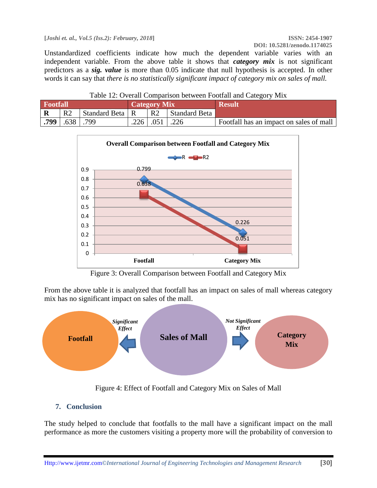**[***Joshi et. al., Vol.5 (Iss.2): February, 2018***] ISSN: 2454-1907**

Unstandardized coefficients indicate how much the dependent variable varies with an independent variable. From the above table it shows that *category mix* is not significant predictors as a *sig. value* is more than 0.05 indicate that null hypothesis is accepted. In other words it can say that *there is no statistically significant impact of category mix on sales of mall.*

| Table 12: Overall Comparison between Footfall and Category Mix |                |                   |                     |                 |               |                                         |
|----------------------------------------------------------------|----------------|-------------------|---------------------|-----------------|---------------|-----------------------------------------|
| <b>Footfall</b>                                                |                |                   | <b>Category Mix</b> |                 |               | <b>Result</b>                           |
| $\mathbf R$                                                    | R <sub>2</sub> | Standard Beta   R |                     | R2              | Standard Beta |                                         |
| .799                                                           | $.638$ .799    |                   |                     | $.226$   $.051$ | $\vert$ .226  | Footfall has an impact on sales of mall |



Figure 3: Overall Comparison between Footfall and Category Mix

From the above table it is analyzed that footfall has an impact on sales of mall whereas category mix has no significant impact on sales of the mall.



Figure 4: Effect of Footfall and Category Mix on Sales of Mall

### **7. Conclusion**

The study helped to conclude that footfalls to the mall have a significant impact on the mall performance as more the customers visiting a property more will the probability of conversion to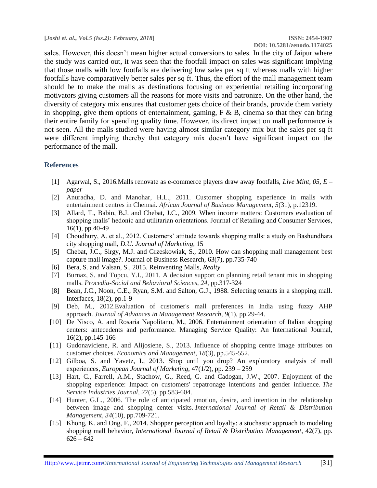sales. However, this doesn't mean higher actual conversions to sales. In the city of Jaipur where the study was carried out, it was seen that the footfall impact on sales was significant implying that those malls with low footfalls are delivering low sales per sq ft whereas malls with higher footfalls have comparatively better sales per sq ft. Thus, the effort of the mall management team should be to make the malls as destinations focusing on experiential retailing incorporating motivators giving customers all the reasons for more visits and patronize. On the other hand, the diversity of category mix ensures that customer gets choice of their brands, provide them variety in shopping, give them options of entertainment, gaming,  $F \& B$ , cinema so that they can bring their entire family for spending quality time. However, its direct impact on mall performance is not seen. All the malls studied were having almost similar category mix but the sales per sq ft were different implying thereby that category mix doesn't have significant impact on the performance of the mall.

#### **References**

- [1] Agarwal, S., 2016.Malls renovate as e-commerce players draw away footfalls, *Live Mint, 05, E – paper*
- [2] Anuradha, D. and Manohar, H.L., 2011. Customer shopping experience in malls with entertainment centres in Chennai. *African Journal of Business Management*, *5*(31), p.12319.
- [3] Allard, T., Babin, B.J. and Chebat, J.C., 2009. When income matters: Customers evaluation of shopping malls' hedonic and utilitarian orientations. Journal of Retailing and Consumer Services, 16(1), pp.40-49
- [4] Choudhury, A. et al., 2012. Customers' attitude towards shopping malls: a study on Bashundhara city shopping mall, *D.U. Journal of Marketing*, 15
- [5] Chebat, J.C., Sirgy, M.J. and Grzeskowiak, S., 2010. How can shopping mall management best capture mall image?. Journal of Business Research, 63(7), pp.735-740
- [6] Bera, S. and Valsan, S., 2015. Reinventing Malls, *Realty*
- [7] Burnaz, S. and Topcu, Y.I., 2011. A decision support on planning retail tenant mix in shopping malls. *Procedia-Social and Behavioral Sciences*, *24*, pp.317-324
- [8] Bean, J.C., Noon, C.E., Ryan, S.M. and Salton, G.J., 1988. Selecting tenants in a shopping mall. Interfaces, 18(2), pp.1-9
- [9] Deb, M., 2012.Evaluation of customer's mall preferences in India using fuzzy AHP approach. *Journal of Advances in Management Research*, *9*(1), pp.29-44.
- [10] De Nisco, A. and Rosaria Napolitano, M., 2006. Entertainment orientation of Italian shopping centers: antecedents and performance. Managing Service Quality: An International Journal, 16(2), pp.145-166
- [11] Gudonaviciene, R. and Alijosiene, S., 2013. Influence of shopping centre image attributes on customer choices. *Economics and Management*, *18*(3), pp.545-552.
- [12] Gilboa, S. and Yavetz, I., 2013. Shop until you drop? An exploratory analysis of mall experiences, *European Journal of Marketing*, 47(1/2), pp. 239 – 259
- [13] Hart, C., Farrell, A.M., Stachow, G., Reed, G. and Cadogan, J.W., 2007. Enjoyment of the shopping experience: Impact on customers' repatronage intentions and gender influence. *The Service Industries Journal*, *27*(5), pp.583-604.
- [14] Hunter, G.L., 2006. The role of anticipated emotion, desire, and intention in the relationship between image and shopping center visits. *International Journal of Retail & Distribution Management*, *34*(10), pp.709-721.
- [15] Khong, K. and Ong, F., 2014. Shopper perception and loyalty: a stochastic approach to modeling shopping mall behavior, *International Journal of Retail & Distribution Management*, 42(7), pp.  $626 - 642$